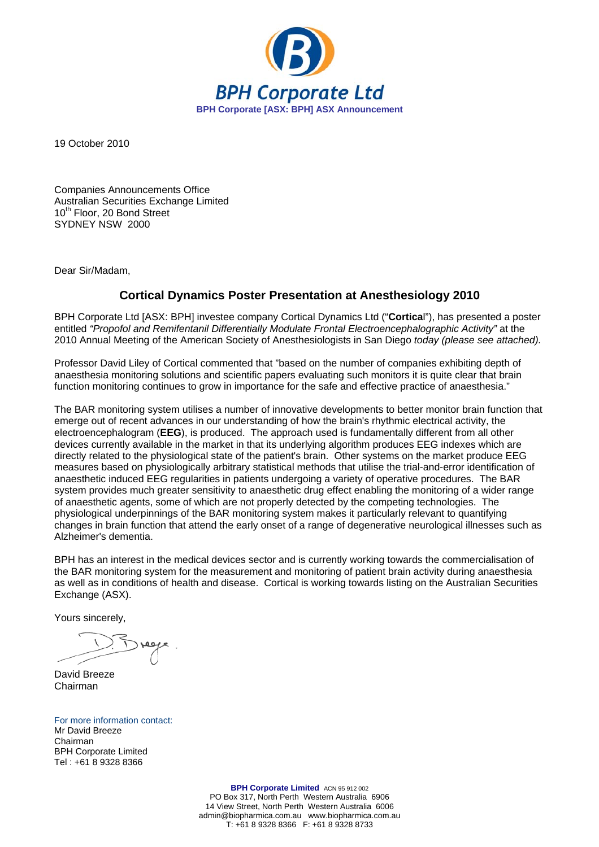

19 October 2010

Companies Announcements Office Australian Securities Exchange Limited 10<sup>th</sup> Floor, 20 Bond Street SYDNEY NSW 2000

Dear Sir/Madam,

## **Cortical Dynamics Poster Presentation at Anesthesiology 2010**

BPH Corporate Ltd [ASX: BPH] investee company Cortical Dynamics Ltd ("**Cortica**l"), has presented a poster entitled "Propofol and Remifentanil Differentially Modulate Frontal Electroencephalographic Activity" at the 2010 Annual Meeting of the American Society of Anesthesiologists in San Diego *today (please see attached).*

Professor David Liley of Cortical commented that "based on the number of companies exhibiting depth of anaesthesia monitoring solutions and scientific papers evaluating such monitors it is quite clear that brain function monitoring continues to grow in importance for the safe and effective practice of anaesthesia."

The BAR monitoring system utilises a number of innovative developments to better monitor brain function that emerge out of recent advances in our understanding of how the brain's rhythmic electrical activity, the electroencephalogram (**EEG**), is produced. The approach used is fundamentally different from all other devices currently available in the market in that its underlying algorithm produces EEG indexes which are directly related to the physiological state of the patient's brain. Other systems on the market produce EEG measures based on physiologically arbitrary statistical methods that utilise the trial-and-error identification of anaesthetic induced EEG regularities in patients undergoing a variety of operative procedures. The BAR system provides much greater sensitivity to anaesthetic drug effect enabling the monitoring of a wider range of anaesthetic agents, some of which are not properly detected by the competing technologies. The physiological underpinnings of the BAR monitoring system makes it particularly relevant to quantifying changes in brain function that attend the early onset of a range of degenerative neurological illnesses such as Alzheimer's dementia.

BPH has an interest in the medical devices sector and is currently working towards the commercialisation of the BAR monitoring system for the measurement and monitoring of patient brain activity during anaesthesia as well as in conditions of health and disease. Cortical is working towards listing on the Australian Securities Exchange (ASX).

Yours sincerely,

David Breeze Chairman

For more information contact: Mr David Breeze Chairman BPH Corporate Limited Tel : +61 8 9328 8366

> **BPH Corporate Limited** ACN 95 912 002 PO Box 317, North Perth Western Australia 6906 14 View Street, North Perth Western Australia 6006 admin@biopharmica.com.au www.biopharmica.com.au T: +61 8 9328 8366 F: +61 8 9328 8733